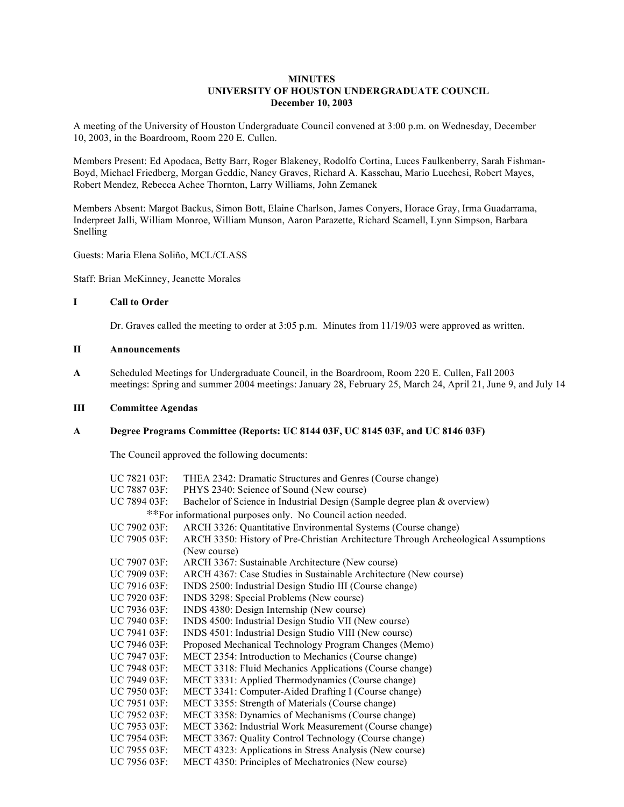## **MINUTES UNIVERSITY OF HOUSTON UNDERGRADUATE COUNCIL December 10, 2003**

A meeting of the University of Houston Undergraduate Council convened at 3:00 p.m. on Wednesday, December 10, 2003, in the Boardroom, Room 220 E. Cullen.

Members Present: Ed Apodaca, Betty Barr, Roger Blakeney, Rodolfo Cortina, Luces Faulkenberry, Sarah Fishman-Boyd, Michael Friedberg, Morgan Geddie, Nancy Graves, Richard A. Kasschau, Mario Lucchesi, Robert Mayes, Robert Mendez, Rebecca Achee Thornton, Larry Williams, John Zemanek

Members Absent: Margot Backus, Simon Bott, Elaine Charlson, James Conyers, Horace Gray, Irma Guadarrama, Inderpreet Jalli, William Monroe, William Munson, Aaron Parazette, Richard Scamell, Lynn Simpson, Barbara Snelling

Guests: Maria Elena Soliño, MCL/CLASS

Staff: Brian McKinney, Jeanette Morales

#### **I Call to Order**

Dr. Graves called the meeting to order at 3:05 p.m. Minutes from 11/19/03 were approved as written.

## **II Announcements**

**A** Scheduled Meetings for Undergraduate Council, in the Boardroom, Room 220 E. Cullen, Fall 2003 meetings: Spring and summer 2004 meetings: January 28, February 25, March 24, April 21, June 9, and July 14

## **III Committee Agendas**

## **A Degree Programs Committee (Reports: UC 8144 03F, UC 8145 03F, and UC 8146 03F)**

The Council approved the following documents:

| UC 7821 03F:                                                  | THEA 2342: Dramatic Structures and Genres (Course change)                          |  |
|---------------------------------------------------------------|------------------------------------------------------------------------------------|--|
| UC 7887 03F:                                                  | PHYS 2340: Science of Sound (New course)                                           |  |
| UC 7894 03F:                                                  | Bachelor of Science in Industrial Design (Sample degree plan & overview)           |  |
| ** For informational purposes only. No Council action needed. |                                                                                    |  |
| UC 7902 03F:                                                  | ARCH 3326: Quantitative Environmental Systems (Course change)                      |  |
| UC 7905 03F:                                                  | ARCH 3350: History of Pre-Christian Architecture Through Archeological Assumptions |  |
|                                                               | (New course)                                                                       |  |
| UC 7907 03F:                                                  | ARCH 3367: Sustainable Architecture (New course)                                   |  |
| UC 7909 03F:                                                  | ARCH 4367: Case Studies in Sustainable Architecture (New course)                   |  |
| UC 7916 03F:                                                  | INDS 2500: Industrial Design Studio III (Course change)                            |  |
| UC 7920 03F:                                                  | INDS 3298: Special Problems (New course)                                           |  |
| UC 7936 03F:                                                  | INDS 4380: Design Internship (New course)                                          |  |
| UC 7940 03F:                                                  | INDS 4500: Industrial Design Studio VII (New course)                               |  |
| UC 7941 03F:                                                  | INDS 4501: Industrial Design Studio VIII (New course)                              |  |
| UC 7946 03F:                                                  | Proposed Mechanical Technology Program Changes (Memo)                              |  |
| UC 7947 03F:                                                  | MECT 2354: Introduction to Mechanics (Course change)                               |  |
| UC 7948 03F:                                                  | MECT 3318: Fluid Mechanics Applications (Course change)                            |  |
| UC 7949 03F:                                                  | MECT 3331: Applied Thermodynamics (Course change)                                  |  |
| UC 7950 03F:                                                  | MECT 3341: Computer-Aided Drafting I (Course change)                               |  |
| UC 7951 03F:                                                  | MECT 3355: Strength of Materials (Course change)                                   |  |
| UC 7952 03F:                                                  | MECT 3358: Dynamics of Mechanisms (Course change)                                  |  |
| UC 7953 03F:                                                  | MECT 3362: Industrial Work Measurement (Course change)                             |  |
| UC 7954 03F:                                                  | MECT 3367: Quality Control Technology (Course change)                              |  |
| UC 7955 03F:                                                  | MECT 4323: Applications in Stress Analysis (New course)                            |  |
| UC 7956 03F:                                                  | MECT 4350: Principles of Mechatronics (New course)                                 |  |
|                                                               |                                                                                    |  |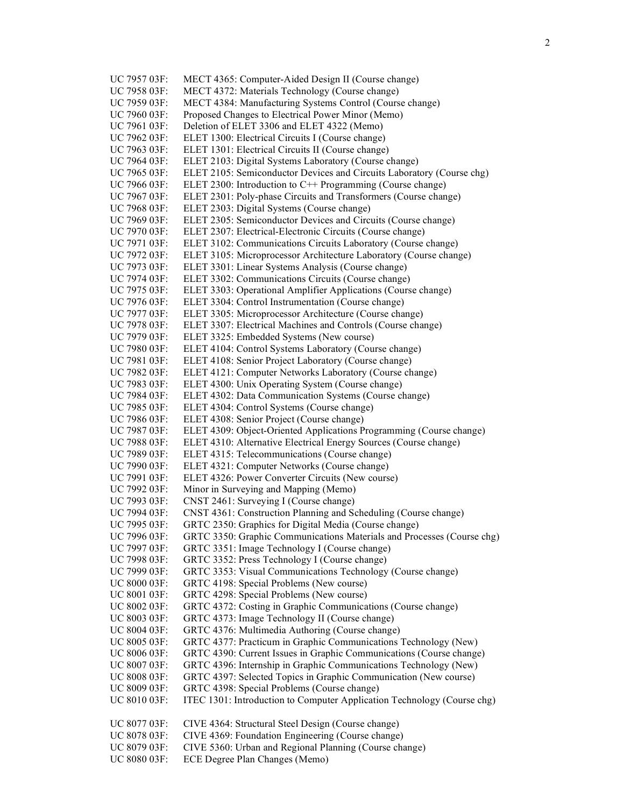| UC 7957 03F:                 | MECT 4365: Computer-Aided Design II (Course change)                                                      |
|------------------------------|----------------------------------------------------------------------------------------------------------|
| UC 7958 03F:                 | MECT 4372: Materials Technology (Course change)                                                          |
| UC 7959 03F:                 | MECT 4384: Manufacturing Systems Control (Course change)                                                 |
| UC 7960 03F:                 | Proposed Changes to Electrical Power Minor (Memo)                                                        |
| UC 7961 03F:                 | Deletion of ELET 3306 and ELET 4322 (Memo)                                                               |
| UC 7962 03F:                 | ELET 1300: Electrical Circuits I (Course change)                                                         |
| UC 7963 03F:                 | ELET 1301: Electrical Circuits II (Course change)                                                        |
| UC 7964 03F:                 | ELET 2103: Digital Systems Laboratory (Course change)                                                    |
| UC 7965 03F:                 | ELET 2105: Semiconductor Devices and Circuits Laboratory (Course chg)                                    |
| UC 7966 03F:                 | ELET 2300: Introduction to C++ Programming (Course change)                                               |
| UC 7967 03F:                 | ELET 2301: Poly-phase Circuits and Transformers (Course change)                                          |
| UC 7968 03F:                 | ELET 2303: Digital Systems (Course change)                                                               |
| UC 7969 03F:                 | ELET 2305: Semiconductor Devices and Circuits (Course change)                                            |
| UC 7970 03F:                 | ELET 2307: Electrical-Electronic Circuits (Course change)                                                |
| UC 7971 03F:                 | ELET 3102: Communications Circuits Laboratory (Course change)                                            |
| UC 7972 03F:<br>UC 7973 03F: | ELET 3105: Microprocessor Architecture Laboratory (Course change)                                        |
| UC 7974 03F:                 | ELET 3301: Linear Systems Analysis (Course change)<br>ELET 3302: Communications Circuits (Course change) |
| UC 7975 03F:                 | ELET 3303: Operational Amplifier Applications (Course change)                                            |
| UC 7976 03F:                 | ELET 3304: Control Instrumentation (Course change)                                                       |
| UC 7977 03F:                 | ELET 3305: Microprocessor Architecture (Course change)                                                   |
| UC 7978 03F:                 | ELET 3307: Electrical Machines and Controls (Course change)                                              |
| UC 7979 03F:                 | ELET 3325: Embedded Systems (New course)                                                                 |
| UC 7980 03F:                 | ELET 4104: Control Systems Laboratory (Course change)                                                    |
| UC 7981 03F:                 | ELET 4108: Senior Project Laboratory (Course change)                                                     |
| UC 7982 03F:                 | ELET 4121: Computer Networks Laboratory (Course change)                                                  |
| UC 7983 03F:                 | ELET 4300: Unix Operating System (Course change)                                                         |
| UC 7984 03F:                 | ELET 4302: Data Communication Systems (Course change)                                                    |
| UC 7985 03F:                 | ELET 4304: Control Systems (Course change)                                                               |
| UC 7986 03F:                 | ELET 4308: Senior Project (Course change)                                                                |
| UC 7987 03F:                 | ELET 4309: Object-Oriented Applications Programming (Course change)                                      |
| UC 7988 03F:                 | ELET 4310: Alternative Electrical Energy Sources (Course change)                                         |
| UC 7989 03F:                 | ELET 4315: Telecommunications (Course change)                                                            |
| UC 7990 03F:                 | ELET 4321: Computer Networks (Course change)                                                             |
| UC 7991 03F:                 | ELET 4326: Power Converter Circuits (New course)                                                         |
| UC 7992 03F:                 | Minor in Surveying and Mapping (Memo)                                                                    |
| UC 7993 03F:                 | CNST 2461: Surveying I (Course change)                                                                   |
| UC 7994 03F:                 | CNST 4361: Construction Planning and Scheduling (Course change)                                          |
| UC 7995 03F:                 | GRTC 2350: Graphics for Digital Media (Course change)                                                    |
| UC 7996 03F:                 | GRTC 3350: Graphic Communications Materials and Processes (Course chg)                                   |
| UC 7997 03F:                 | GRTC 3351: Image Technology I (Course change)                                                            |
| UC 7998 03F:                 | GRTC 3352: Press Technology I (Course change)                                                            |
| UC 7999 03F:                 | GRTC 3353: Visual Communications Technology (Course change)                                              |
| UC 8000 03F:                 | GRTC 4198: Special Problems (New course)                                                                 |
| UC 8001 03F:                 | GRTC 4298: Special Problems (New course)                                                                 |
| UC 8002 03F:                 | GRTC 4372: Costing in Graphic Communications (Course change)                                             |
| UC 8003 03F:                 | GRTC 4373: Image Technology II (Course change)                                                           |
| UC 8004 03F:                 | GRTC 4376: Multimedia Authoring (Course change)                                                          |
| UC 8005 03F:                 | GRTC 4377: Practicum in Graphic Communications Technology (New)                                          |
| UC 8006 03F:                 | GRTC 4390: Current Issues in Graphic Communications (Course change)                                      |
| UC 8007 03F:                 | GRTC 4396: Internship in Graphic Communications Technology (New)                                         |
| UC 8008 03F:                 | GRTC 4397: Selected Topics in Graphic Communication (New course)                                         |
| UC 8009 03F:                 | GRTC 4398: Special Problems (Course change)                                                              |
| UC 8010 03F:                 | ITEC 1301: Introduction to Computer Application Technology (Course chg)                                  |
| UC 8077 03F:                 | CIVE 4364: Structural Steel Design (Course change)                                                       |
| UC 8078 03F:                 | CIVE 4369: Foundation Engineering (Course change)                                                        |
| UC 8079 03F:                 | CIVE 5360: Urban and Regional Planning (Course change)                                                   |
| UC 8080 03F:                 | ECE Degree Plan Changes (Memo)                                                                           |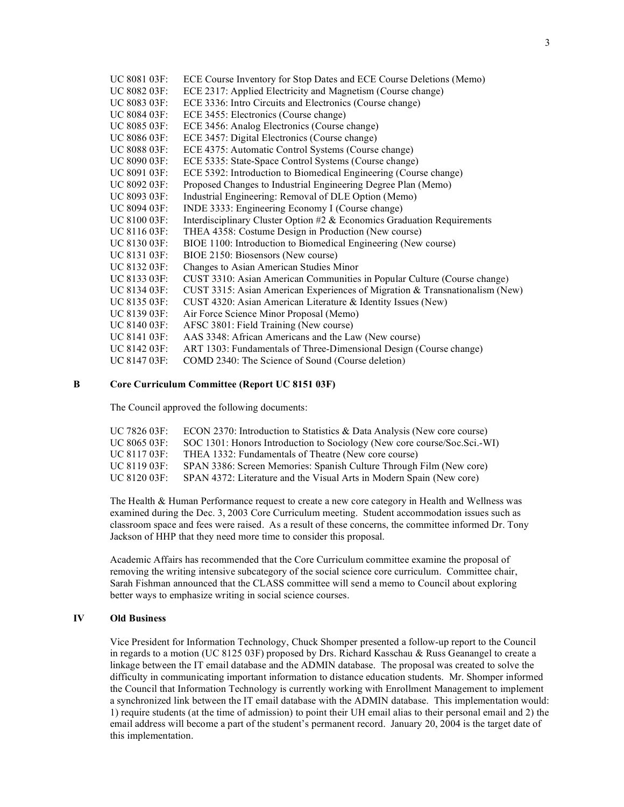| UC 8081 03F: | ECE Course Inventory for Stop Dates and ECE Course Deletions (Memo)         |
|--------------|-----------------------------------------------------------------------------|
| UC 8082 03F: | ECE 2317: Applied Electricity and Magnetism (Course change)                 |
| UC 8083 03F: | ECE 3336: Intro Circuits and Electronics (Course change)                    |
| UC 8084 03F: | ECE 3455: Electronics (Course change)                                       |
| UC 8085 03F: | ECE 3456: Analog Electronics (Course change)                                |
| UC 8086 03F: | ECE 3457: Digital Electronics (Course change)                               |
| UC 8088 03F: | ECE 4375: Automatic Control Systems (Course change)                         |
| UC 8090 03F: | ECE 5335: State-Space Control Systems (Course change)                       |
| UC 8091 03F: | ECE 5392: Introduction to Biomedical Engineering (Course change)            |
| UC 8092 03F: | Proposed Changes to Industrial Engineering Degree Plan (Memo)               |
| UC 8093 03F: | Industrial Engineering: Removal of DLE Option (Memo)                        |
| UC 8094 03F: | INDE 3333: Engineering Economy I (Course change)                            |
| UC 8100 03F: | Interdisciplinary Cluster Option #2 $&$ Economics Graduation Requirements   |
| UC 8116 03F: | THEA 4358: Costume Design in Production (New course)                        |
| UC 8130 03F: | BIOE 1100: Introduction to Biomedical Engineering (New course)              |
| UC 8131 03F: | BIOE 2150: Biosensors (New course)                                          |
| UC 8132 03F: | Changes to Asian American Studies Minor                                     |
| UC 8133 03F: | CUST 3310: Asian American Communities in Popular Culture (Course change)    |
| UC 8134 03F: | CUST 3315: Asian American Experiences of Migration & Transnationalism (New) |
| UC 8135 03F: | CUST 4320: Asian American Literature & Identity Issues (New)                |
| UC 8139 03F: | Air Force Science Minor Proposal (Memo)                                     |
| UC 8140 03F: | AFSC 3801: Field Training (New course)                                      |
| UC 8141 03F: | AAS 3348: African Americans and the Law (New course)                        |
| UC 8142 03F: | ART 1303: Fundamentals of Three-Dimensional Design (Course change)          |
| UC 8147 03F: | COMD 2340: The Science of Sound (Course deletion)                           |

#### **B Core Curriculum Committee (Report UC 8151 03F)**

The Council approved the following documents:

| UC 7826 03F: | ECON 2370: Introduction to Statistics & Data Analysis (New core course)  |
|--------------|--------------------------------------------------------------------------|
| UC 8065 03F: | SOC 1301: Honors Introduction to Sociology (New core course/Soc.Sci.-WI) |
| UC 8117 03F: | THEA 1332: Fundamentals of Theatre (New core course)                     |
| UC 8119 03F: | SPAN 3386: Screen Memories: Spanish Culture Through Film (New core)      |
| UC 8120 03F: | SPAN 4372: Literature and the Visual Arts in Modern Spain (New core)     |
|              |                                                                          |

The Health & Human Performance request to create a new core category in Health and Wellness was examined during the Dec. 3, 2003 Core Curriculum meeting. Student accommodation issues such as classroom space and fees were raised. As a result of these concerns, the committee informed Dr. Tony Jackson of HHP that they need more time to consider this proposal.

Academic Affairs has recommended that the Core Curriculum committee examine the proposal of removing the writing intensive subcategory of the social science core curriculum. Committee chair, Sarah Fishman announced that the CLASS committee will send a memo to Council about exploring better ways to emphasize writing in social science courses.

## **IV Old Business**

Vice President for Information Technology, Chuck Shomper presented a follow-up report to the Council in regards to a motion (UC 8125 03F) proposed by Drs. Richard Kasschau & Russ Geanangel to create a linkage between the IT email database and the ADMIN database. The proposal was created to solve the difficulty in communicating important information to distance education students. Mr. Shomper informed the Council that Information Technology is currently working with Enrollment Management to implement a synchronized link between the IT email database with the ADMIN database. This implementation would: 1) require students (at the time of admission) to point their UH email alias to their personal email and 2) the email address will become a part of the student's permanent record. January 20, 2004 is the target date of this implementation.